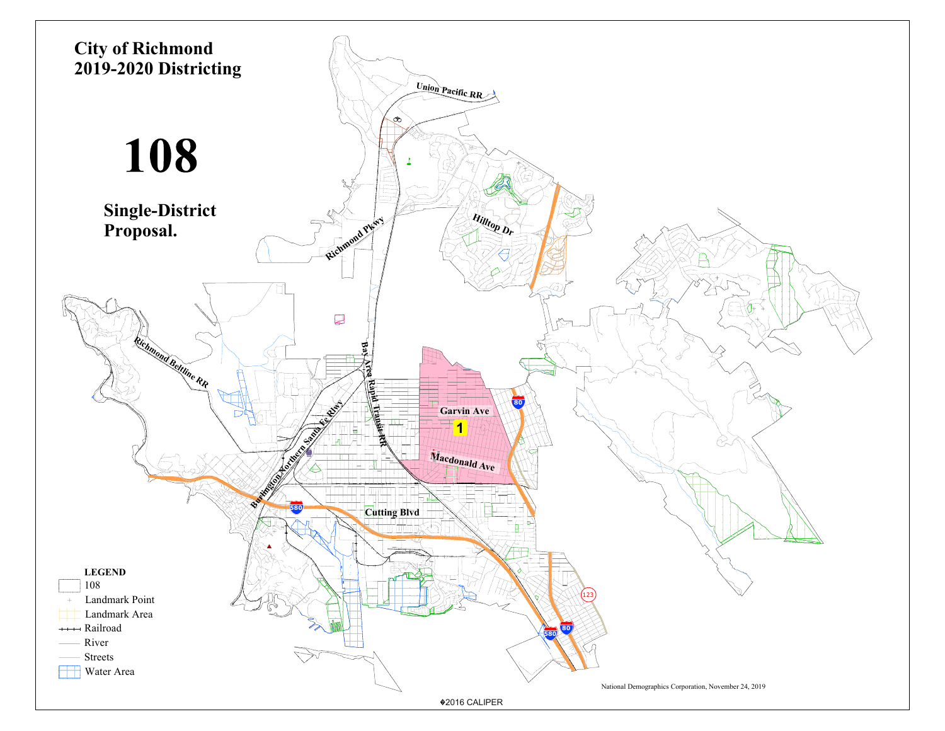